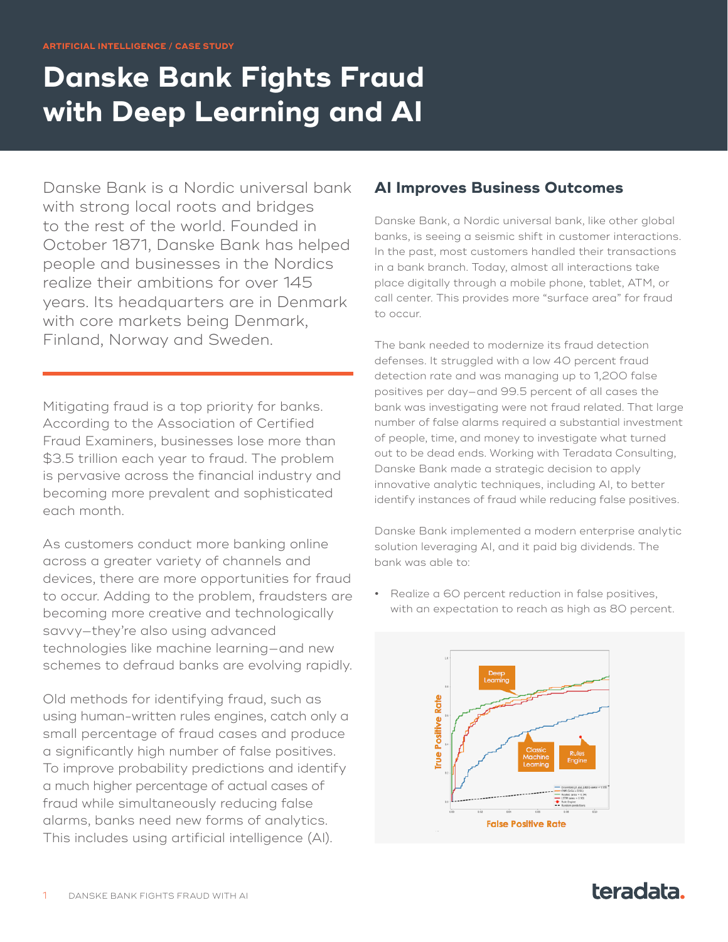# **Danske Bank Fights Fraud with Deep Learning and AI**

Danske Bank is a Nordic universal bank with strong local roots and bridges to the rest of the world. Founded in October 1871, Danske Bank has helped people and businesses in the Nordics realize their ambitions for over 145 years. Its headquarters are in Denmark with core markets being Denmark, Finland, Norway and Sweden.

Mitigating fraud is a top priority for banks. According to the Association of Certified Fraud Examiners, businesses lose more than \$3.5 trillion each year to fraud. The problem is pervasive across the financial industry and becoming more prevalent and sophisticated each month.

As customers conduct more banking online across a greater variety of channels and devices, there are more opportunities for fraud to occur. Adding to the problem, fraudsters are becoming more creative and technologically savvy—they're also using advanced technologies like machine learning—and new schemes to defraud banks are evolving rapidly.

Old methods for identifying fraud, such as using human-written rules engines, catch only a small percentage of fraud cases and produce a significantly high number of false positives. To improve probability predictions and identify a much higher percentage of actual cases of fraud while simultaneously reducing false alarms, banks need new forms of analytics. This includes using artificial intelligence (AI).

### **AI Improves Business Outcomes**

Danske Bank, a Nordic universal bank, like other global banks, is seeing a seismic shift in customer interactions. In the past, most customers handled their transactions in a bank branch. Today, almost all interactions take place digitally through a mobile phone, tablet, ATM, or call center. This provides more "surface area" for fraud to occur.

The bank needed to modernize its fraud detection defenses. It struggled with a low 40 percent fraud detection rate and was managing up to 1,200 false positives per day—and 99.5 percent of all cases the bank was investigating were not fraud related. That large number of false alarms required a substantial investment of people, time, and money to investigate what turned out to be dead ends. Working with Teradata Consulting, Danske Bank made a strategic decision to apply innovative analytic techniques, including AI, to better identify instances of fraud while reducing false positives.

Danske Bank implemented a modern enterprise analytic solution leveraging AI, and it paid big dividends. The bank was able to:

**•** Realize a 60 percent reduction in false positives, with an expectation to reach as high as 80 percent.



## teradata.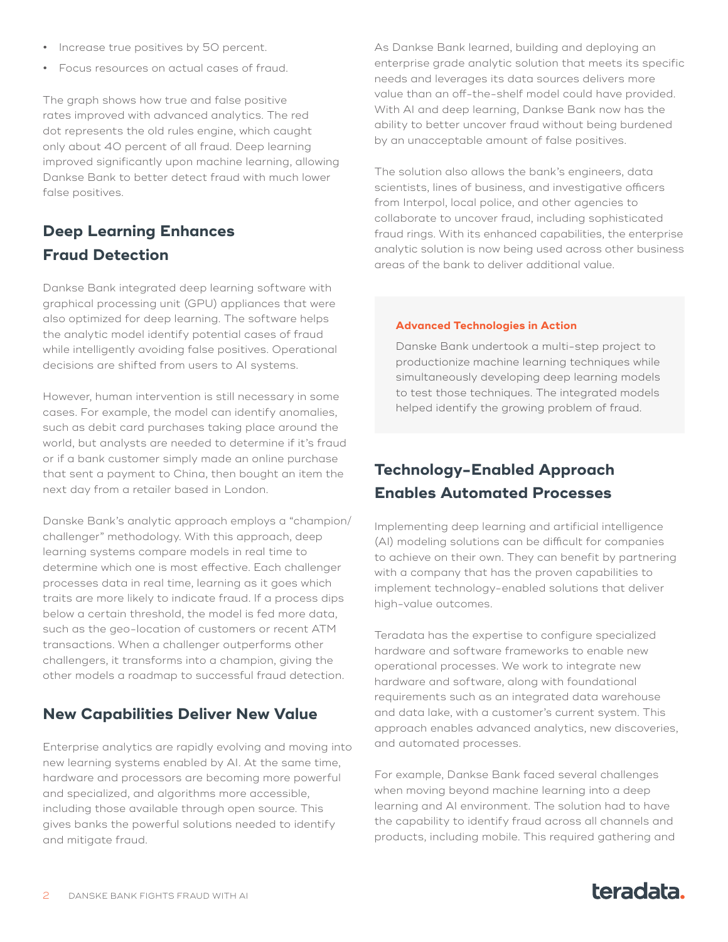- **•** Increase true positives by 50 percent.
- **•** Focus resources on actual cases of fraud.

The graph shows how true and false positive rates improved with advanced analytics. The red dot represents the old rules engine, which caught only about 40 percent of all fraud. Deep learning improved significantly upon machine learning, allowing Dankse Bank to better detect fraud with much lower false positives.

## **Deep Learning Enhances Fraud Detection**

Dankse Bank integrated deep learning software with graphical processing unit (GPU) appliances that were also optimized for deep learning. The software helps the analytic model identify potential cases of fraud while intelligently avoiding false positives. Operational decisions are shifted from users to AI systems.

However, human intervention is still necessary in some cases. For example, the model can identify anomalies, such as debit card purchases taking place around the world, but analysts are needed to determine if it's fraud or if a bank customer simply made an online purchase that sent a payment to China, then bought an item the next day from a retailer based in London.

Danske Bank's analytic approach employs a "champion/ challenger" methodology. With this approach, deep learning systems compare models in real time to determine which one is most effective. Each challenger processes data in real time, learning as it goes which traits are more likely to indicate fraud. If a process dips below a certain threshold, the model is fed more data, such as the geo-location of customers or recent ATM transactions. When a challenger outperforms other challengers, it transforms into a champion, giving the other models a roadmap to successful fraud detection.

#### **New Capabilities Deliver New Value**

Enterprise analytics are rapidly evolving and moving into new learning systems enabled by AI. At the same time, hardware and processors are becoming more powerful and specialized, and algorithms more accessible, including those available through open source. This gives banks the powerful solutions needed to identify and mitigate fraud.

As Dankse Bank learned, building and deploying an enterprise grade analytic solution that meets its specific needs and leverages its data sources delivers more value than an off-the-shelf model could have provided. With AI and deep learning, Dankse Bank now has the ability to better uncover fraud without being burdened by an unacceptable amount of false positives.

The solution also allows the bank's engineers, data scientists, lines of business, and investigative officers from Interpol, local police, and other agencies to collaborate to uncover fraud, including sophisticated fraud rings. With its enhanced capabilities, the enterprise analytic solution is now being used across other business areas of the bank to deliver additional value.

#### **Advanced Technologies in Action**

Danske Bank undertook a multi-step project to productionize machine learning techniques while simultaneously developing deep learning models to test those techniques. The integrated models helped identify the growing problem of fraud.

## **Technology-Enabled Approach Enables Automated Processes**

Implementing deep learning and artificial intelligence (AI) modeling solutions can be difficult for companies to achieve on their own. They can benefit by partnering with a company that has the proven capabilities to implement technology-enabled solutions that deliver high-value outcomes.

Teradata has the expertise to configure specialized hardware and software frameworks to enable new operational processes. We work to integrate new hardware and software, along with foundational requirements such as an integrated data warehouse and data lake, with a customer's current system. This approach enables advanced analytics, new discoveries, and automated processes.

For example, Dankse Bank faced several challenges when moving beyond machine learning into a deep learning and AI environment. The solution had to have the capability to identify fraud across all channels and products, including mobile. This required gathering and